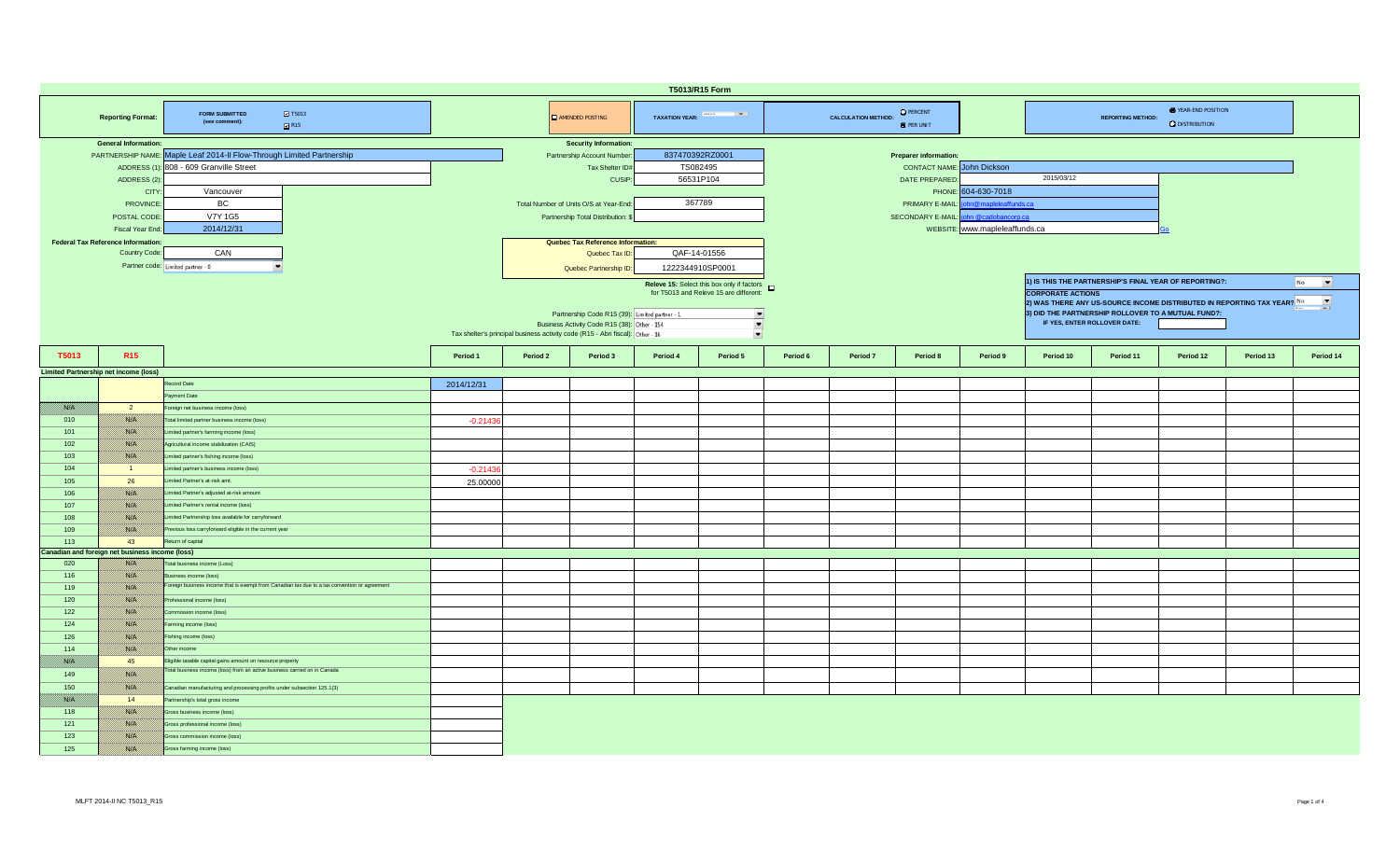| T5013/R15 Form                                                                                |                                                            |                                                                                               |                                                |                                                                     |                                                                                |                            |                          |                                   |                            |                                       |                     |                                                                                                     |                              |                                                     |           |           |  |  |  |  |
|-----------------------------------------------------------------------------------------------|------------------------------------------------------------|-----------------------------------------------------------------------------------------------|------------------------------------------------|---------------------------------------------------------------------|--------------------------------------------------------------------------------|----------------------------|--------------------------|-----------------------------------|----------------------------|---------------------------------------|---------------------|-----------------------------------------------------------------------------------------------------|------------------------------|-----------------------------------------------------|-----------|-----------|--|--|--|--|
|                                                                                               | <b>Reporting Format:</b>                                   | <b>2</b> T5013<br><b>FORM SUBMITTED</b><br>(see comment):<br>R15                              |                                                |                                                                     | <b>AMENDED POSTING</b>                                                         | TAXATION YEAR: And Taxable |                          |                                   | <b>CALCULATION METHOD:</b> | <b>O</b> PERCENT<br><b>O</b> PER UNIT |                     |                                                                                                     | <b>REPORTING METHOD:</b>     | <b>E</b> YEAR-END POSITION<br><b>Q</b> DISTRIBUTION |           |           |  |  |  |  |
|                                                                                               | <b>General Information:</b>                                |                                                                                               |                                                |                                                                     | <b>Security Information:</b>                                                   |                            |                          |                                   |                            |                                       |                     |                                                                                                     |                              |                                                     |           |           |  |  |  |  |
|                                                                                               |                                                            | PARTNERSHIP NAME: Maple Leaf 2014-II Flow-Through Limited Partnership                         |                                                |                                                                     | 837470392RZ0001<br>Partnership Account Number<br><b>Preparer information:</b>  |                            |                          |                                   |                            |                                       |                     |                                                                                                     |                              |                                                     |           |           |  |  |  |  |
|                                                                                               |                                                            | ADDRESS (1): 808 - 609 Granville Street                                                       |                                                |                                                                     | Tax Shelter ID#                                                                | TS082495                   |                          | <b>CONTACT NAME:</b> John Dickson |                            |                                       |                     |                                                                                                     |                              |                                                     |           |           |  |  |  |  |
|                                                                                               | ADDRESS (2)                                                |                                                                                               |                                                |                                                                     | CUSIP:                                                                         | 56531P104                  |                          | 2015/03/12<br>DATE PREPARED       |                            |                                       |                     |                                                                                                     |                              |                                                     |           |           |  |  |  |  |
|                                                                                               | <b>CITY</b>                                                | Vancouver                                                                                     |                                                |                                                                     |                                                                                |                            |                          |                                   |                            | PHONE:                                | 604-630-7018        |                                                                                                     |                              |                                                     |           |           |  |  |  |  |
|                                                                                               | <b>PROVINCE</b>                                            | BC                                                                                            |                                                |                                                                     | Total Number of Units O/S at Year-End                                          | 367789                     |                          |                                   |                            | PRIMARY E-MAIL:                       | n@mapleleaffunds.ca |                                                                                                     |                              |                                                     |           |           |  |  |  |  |
|                                                                                               | POSTAL CODE                                                | <b>V7Y 1G5</b>                                                                                |                                                |                                                                     | Partnership Total Distribution:                                                |                            |                          |                                   |                            | SECONDARY E-MAIL:                     | ohn @cadobancorp.ca |                                                                                                     |                              |                                                     |           |           |  |  |  |  |
|                                                                                               | Fiscal Year End                                            | 2014/12/31                                                                                    |                                                |                                                                     |                                                                                |                            |                          |                                   |                            |                                       |                     |                                                                                                     |                              |                                                     |           |           |  |  |  |  |
|                                                                                               |                                                            |                                                                                               |                                                | WEBSITE: www.mapleleaffunds.ca<br>Quebec Tax Reference Information: |                                                                                |                            |                          |                                   |                            |                                       |                     |                                                                                                     |                              |                                                     |           |           |  |  |  |  |
|                                                                                               | <b>Federal Tax Reference Information:</b><br>Country Code: | CAN                                                                                           |                                                | QAF-14-01556<br>Quebec Tax ID:                                      |                                                                                |                            |                          |                                   |                            |                                       |                     |                                                                                                     |                              |                                                     |           |           |  |  |  |  |
|                                                                                               |                                                            |                                                                                               |                                                |                                                                     |                                                                                |                            |                          |                                   |                            |                                       |                     |                                                                                                     |                              |                                                     |           |           |  |  |  |  |
|                                                                                               | Partner code: Limited partner - 0                          |                                                                                               |                                                |                                                                     | Quebec Partnership ID:                                                         | 1222344910SP0001           |                          |                                   |                            |                                       |                     |                                                                                                     |                              |                                                     |           |           |  |  |  |  |
|                                                                                               |                                                            |                                                                                               |                                                |                                                                     |                                                                                |                            |                          |                                   |                            |                                       |                     | 1) IS THIS THE PARTNERSHIP'S FINAL YEAR OF REPORTING?:<br>$\overline{\phantom{a}}$<br>No            |                              |                                                     |           |           |  |  |  |  |
| Releve 15: Select this box only if factors <b>D</b><br>for T5013 and Releve 15 are different: |                                                            |                                                                                               |                                                |                                                                     |                                                                                |                            |                          |                                   |                            |                                       |                     | <b>CORPORATE ACTIONS</b>                                                                            |                              |                                                     |           |           |  |  |  |  |
|                                                                                               |                                                            |                                                                                               |                                                |                                                                     |                                                                                |                            |                          |                                   |                            |                                       |                     | $\overline{\phantom{a}}$<br>2) WAS THERE ANY US-SOURCE INCOME DISTRIBUTED IN REPORTING TAX YEAR? No |                              |                                                     |           |           |  |  |  |  |
|                                                                                               |                                                            |                                                                                               | Partnership Code R15 (39): Limited partner - 1 |                                                                     | 긔                                                                              |                            |                          |                                   |                            |                                       |                     | 3) DID THE PARTNERSHIP ROLLOVER TO A MUTUAL FUND?:                                                  |                              |                                                     |           |           |  |  |  |  |
|                                                                                               |                                                            |                                                                                               |                                                |                                                                     | Business Activity Code R15 (38): Other - 154                                   |                            | $\blacksquare$           |                                   |                            |                                       |                     |                                                                                                     | IF YES, ENTER ROLLOVER DATE: |                                                     |           |           |  |  |  |  |
|                                                                                               |                                                            |                                                                                               |                                                |                                                                     | Tax shelter's principal business activity code (R15 - Abri fiscal): Other - 16 |                            | $\overline{\phantom{a}}$ |                                   |                            |                                       |                     |                                                                                                     |                              |                                                     |           |           |  |  |  |  |
| T5013                                                                                         | <b>R15</b>                                                 |                                                                                               | Period 1                                       | Period 2                                                            | Period 3                                                                       | Period 4                   | Period 5                 | Period 6                          | Period 7                   | Period 8                              | Period 9            | Period 10                                                                                           | Period 11                    | Period 12                                           | Period 13 | Period 14 |  |  |  |  |
|                                                                                               |                                                            |                                                                                               |                                                |                                                                     |                                                                                |                            |                          |                                   |                            |                                       |                     |                                                                                                     |                              |                                                     |           |           |  |  |  |  |
|                                                                                               | <b>Limited Partnership net income (loss)</b>               |                                                                                               |                                                |                                                                     |                                                                                |                            |                          |                                   |                            |                                       |                     |                                                                                                     |                              |                                                     |           |           |  |  |  |  |
|                                                                                               |                                                            | Record Date                                                                                   | 2014/12/31                                     |                                                                     |                                                                                |                            |                          |                                   |                            |                                       |                     |                                                                                                     |                              |                                                     |           |           |  |  |  |  |
|                                                                                               |                                                            | Payment Date                                                                                  |                                                |                                                                     |                                                                                |                            |                          |                                   |                            |                                       |                     |                                                                                                     |                              |                                                     |           |           |  |  |  |  |
| i katika k                                                                                    | $\overline{2}$                                             | Foreign net business income (loss)                                                            |                                                |                                                                     |                                                                                |                            |                          |                                   |                            |                                       |                     |                                                                                                     |                              |                                                     |           |           |  |  |  |  |
| 010                                                                                           | <b>BALLA</b>                                               | Total limited partner business income (loss)                                                  | $-0.2143$                                      |                                                                     |                                                                                |                            |                          |                                   |                            |                                       |                     |                                                                                                     |                              |                                                     |           |           |  |  |  |  |
| 101                                                                                           | <b>1880.000</b>                                            | Limited partner's farming income (loss)                                                       |                                                |                                                                     |                                                                                |                            |                          |                                   |                            |                                       |                     |                                                                                                     |                              |                                                     |           |           |  |  |  |  |
| 102                                                                                           | 1880 EU                                                    | Agricultural income stabilization (CAIS)                                                      |                                                |                                                                     |                                                                                |                            |                          |                                   |                            |                                       |                     |                                                                                                     |                              |                                                     |           |           |  |  |  |  |
| 103                                                                                           | <u> Bibliott</u>                                           | Limited partner's fishing income (loss)                                                       |                                                |                                                                     |                                                                                |                            |                          |                                   |                            |                                       |                     |                                                                                                     |                              |                                                     |           |           |  |  |  |  |
| 104                                                                                           | $\blacksquare$                                             | Limited partner's business income (loss)                                                      | $-0.2143$                                      |                                                                     |                                                                                |                            |                          |                                   |                            |                                       |                     |                                                                                                     |                              |                                                     |           |           |  |  |  |  |
| 105                                                                                           | 26                                                         | Limited Partner's at-risk amt.                                                                | 25,00000                                       |                                                                     |                                                                                |                            |                          |                                   |                            |                                       |                     |                                                                                                     |                              |                                                     |           |           |  |  |  |  |
| 106                                                                                           | <u> 1880. SV</u>                                           | Limited Partner's adjusted at-risk amount                                                     |                                                |                                                                     |                                                                                |                            |                          |                                   |                            |                                       |                     |                                                                                                     |                              |                                                     |           |           |  |  |  |  |
| 107                                                                                           | 1880 EU                                                    | Limited Partner's rental income (loss)                                                        |                                                |                                                                     |                                                                                |                            |                          |                                   |                            |                                       |                     |                                                                                                     |                              |                                                     |           |           |  |  |  |  |
| 108                                                                                           | <b>BALLA</b>                                               | Limited Partnership loss available for carryforward                                           |                                                |                                                                     |                                                                                |                            |                          |                                   |                            |                                       |                     |                                                                                                     |                              |                                                     |           |           |  |  |  |  |
|                                                                                               |                                                            |                                                                                               |                                                |                                                                     |                                                                                |                            |                          |                                   |                            |                                       |                     |                                                                                                     |                              |                                                     |           |           |  |  |  |  |
| 109                                                                                           | <b>RACHI</b>                                               | Previous loss carryforward eligible in the current year                                       |                                                |                                                                     |                                                                                |                            |                          |                                   |                            |                                       |                     |                                                                                                     |                              |                                                     |           |           |  |  |  |  |
| 113                                                                                           | 43                                                         | Return of capital                                                                             |                                                |                                                                     |                                                                                |                            |                          |                                   |                            |                                       |                     |                                                                                                     |                              |                                                     |           |           |  |  |  |  |
| 020                                                                                           | Canadian and foreign net business income (loss)<br>1883.C  | Total business income (Loss)                                                                  |                                                |                                                                     |                                                                                |                            |                          |                                   |                            |                                       |                     |                                                                                                     |                              |                                                     |           |           |  |  |  |  |
|                                                                                               |                                                            | Business income (loss)                                                                        |                                                |                                                                     |                                                                                |                            |                          |                                   |                            |                                       |                     |                                                                                                     |                              |                                                     |           |           |  |  |  |  |
| 116                                                                                           | <u>1880. SV</u>                                            | Foreign business income that is exempt from Canadian tax due to a tax convention or agreement |                                                |                                                                     |                                                                                |                            |                          |                                   |                            |                                       |                     |                                                                                                     |                              |                                                     |           |           |  |  |  |  |
| 119                                                                                           | 788 P                                                      |                                                                                               |                                                |                                                                     |                                                                                |                            |                          |                                   |                            |                                       |                     |                                                                                                     |                              |                                                     |           |           |  |  |  |  |
| 120                                                                                           | <b>BALLA</b>                                               | Professional income (loss)                                                                    |                                                |                                                                     |                                                                                |                            |                          |                                   |                            |                                       |                     |                                                                                                     |                              |                                                     |           |           |  |  |  |  |
| 122                                                                                           | <b>RACHI</b>                                               | Commission income (loss)                                                                      |                                                |                                                                     |                                                                                |                            |                          |                                   |                            |                                       |                     |                                                                                                     |                              |                                                     |           |           |  |  |  |  |
| 124                                                                                           | <u> 1880. SV</u>                                           | Farming income (loss)                                                                         |                                                |                                                                     |                                                                                |                            |                          |                                   |                            |                                       |                     |                                                                                                     |                              |                                                     |           |           |  |  |  |  |
| 126                                                                                           | i sistemat                                                 | Fishing income (loss)                                                                         |                                                |                                                                     |                                                                                |                            |                          |                                   |                            |                                       |                     |                                                                                                     |                              |                                                     |           |           |  |  |  |  |
| 114                                                                                           | 788 B                                                      | Other income                                                                                  |                                                |                                                                     |                                                                                |                            |                          |                                   |                            |                                       |                     |                                                                                                     |                              |                                                     |           |           |  |  |  |  |
| film a                                                                                        | 45                                                         | Eligible taxable capital gains amount on resource property                                    |                                                |                                                                     |                                                                                |                            |                          |                                   |                            |                                       |                     |                                                                                                     |                              |                                                     |           |           |  |  |  |  |
| 149                                                                                           | 1880 EU                                                    | Total business income (loss) from an active business carried on in Canada                     |                                                |                                                                     |                                                                                |                            |                          |                                   |                            |                                       |                     |                                                                                                     |                              |                                                     |           |           |  |  |  |  |
| 150                                                                                           | 1880 Oʻli                                                  | Canadian manufacturing and processing profits under subsection 125.1(3)                       |                                                |                                                                     |                                                                                |                            |                          |                                   |                            |                                       |                     |                                                                                                     |                              |                                                     |           |           |  |  |  |  |
| film a                                                                                        | 14                                                         | Partnership's total gross income                                                              |                                                |                                                                     |                                                                                |                            |                          |                                   |                            |                                       |                     |                                                                                                     |                              |                                                     |           |           |  |  |  |  |
| 118                                                                                           | <u>1880 (M</u>                                             | Gross business income (loss)                                                                  |                                                |                                                                     |                                                                                |                            |                          |                                   |                            |                                       |                     |                                                                                                     |                              |                                                     |           |           |  |  |  |  |
|                                                                                               |                                                            |                                                                                               |                                                |                                                                     |                                                                                |                            |                          |                                   |                            |                                       |                     |                                                                                                     |                              |                                                     |           |           |  |  |  |  |
| 121                                                                                           | 1880 Oʻli                                                  | Gross professional income (loss)                                                              |                                                |                                                                     |                                                                                |                            |                          |                                   |                            |                                       |                     |                                                                                                     |                              |                                                     |           |           |  |  |  |  |
| 123                                                                                           | 1880 EU                                                    | Gross commission income (loss)                                                                |                                                |                                                                     |                                                                                |                            |                          |                                   |                            |                                       |                     |                                                                                                     |                              |                                                     |           |           |  |  |  |  |
| 125                                                                                           | 1880 Oliveil                                               | Gross farming income (loss)                                                                   |                                                |                                                                     |                                                                                |                            |                          |                                   |                            |                                       |                     |                                                                                                     |                              |                                                     |           |           |  |  |  |  |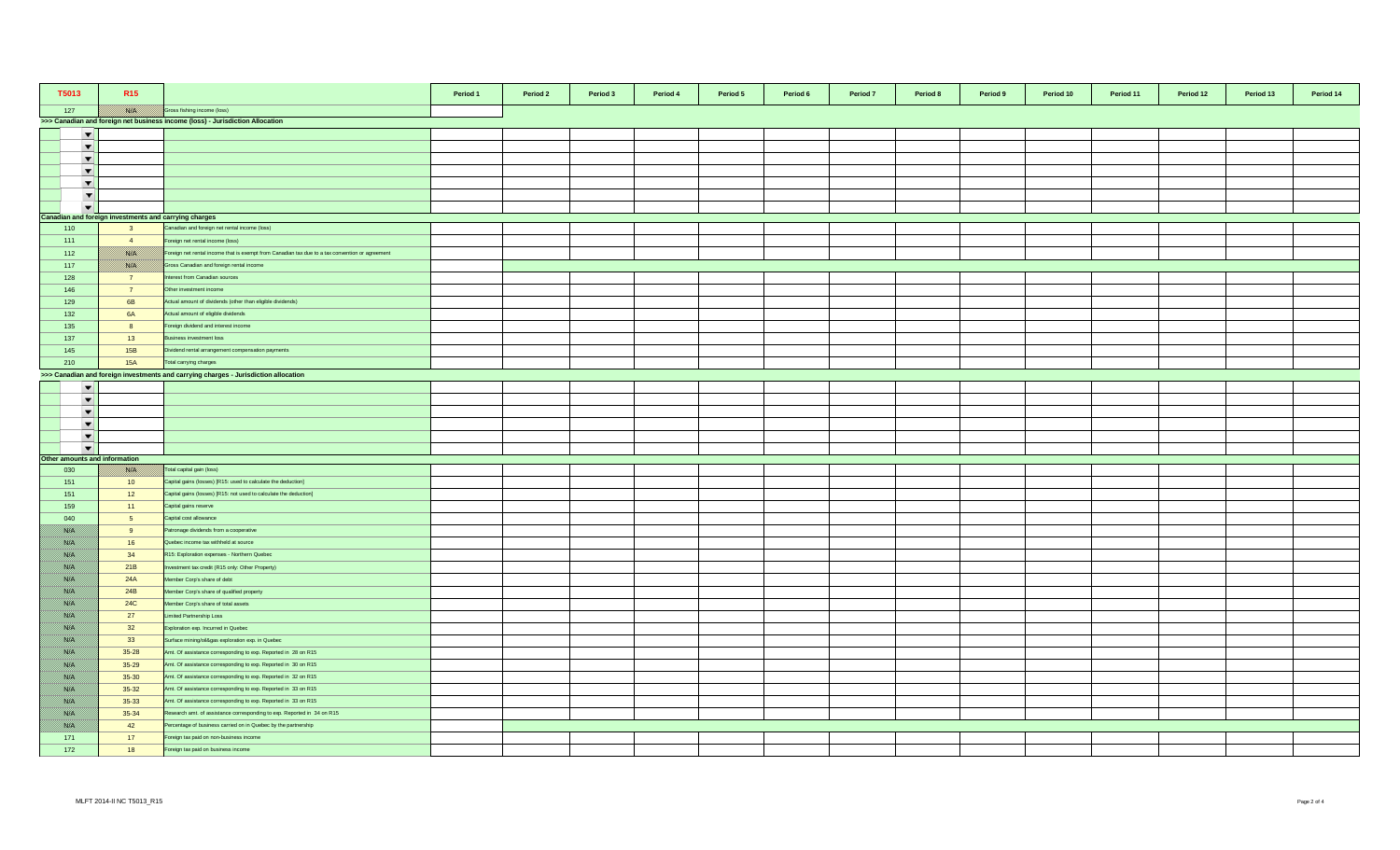| T5013                         | R <sub>15</sub>                                       |                                                                                                 | Period 1 | Period 2 | Period 3 | Period 4<br>Period 5 | Period 6 | Period 7 | Period 8 | Period 9 | Period 10 | Period 11 | Period 12 | Period 13 | Period 14 |
|-------------------------------|-------------------------------------------------------|-------------------------------------------------------------------------------------------------|----------|----------|----------|----------------------|----------|----------|----------|----------|-----------|-----------|-----------|-----------|-----------|
| 127                           |                                                       | Gross fishing income (loss)                                                                     |          |          |          |                      |          |          |          |          |           |           |           |           |           |
|                               |                                                       | >>> Canadian and foreign net business income (loss) - Jurisdiction Allocation                   |          |          |          |                      |          |          |          |          |           |           |           |           |           |
| $\overline{\phantom{a}}$      |                                                       |                                                                                                 |          |          |          |                      |          |          |          |          |           |           |           |           |           |
| $\overline{\phantom{a}}$      |                                                       |                                                                                                 |          |          |          |                      |          |          |          |          |           |           |           |           |           |
| $\overline{\phantom{a}}$      |                                                       |                                                                                                 |          |          |          |                      |          |          |          |          |           |           |           |           |           |
| $\blacktriangledown$          |                                                       |                                                                                                 |          |          |          |                      |          |          |          |          |           |           |           |           |           |
| $\blacktriangledown$          |                                                       |                                                                                                 |          |          |          |                      |          |          |          |          |           |           |           |           |           |
| $\blacktriangledown$          |                                                       |                                                                                                 |          |          |          |                      |          |          |          |          |           |           |           |           |           |
| $\overline{\phantom{0}}$      |                                                       |                                                                                                 |          |          |          |                      |          |          |          |          |           |           |           |           |           |
|                               | Canadian and foreign investments and carrying charges |                                                                                                 |          |          |          |                      |          |          |          |          |           |           |           |           |           |
| 110                           | $\overline{\mathbf{3}}$                               | Canadian and foreign net rental income (loss)                                                   |          |          |          |                      |          |          |          |          |           |           |           |           |           |
| 111                           | $\overline{4}$                                        | Foreign net rental income (loss)                                                                |          |          |          |                      |          |          |          |          |           |           |           |           |           |
| 112                           | <b>BARA</b>                                           | Foreign net rental income that is exempt from Canadian tax due to a tax convention or agreement |          |          |          |                      |          |          |          |          |           |           |           |           |           |
| 117                           | <b>BARTA</b>                                          | Gross Canadian and foreign rental income                                                        |          |          |          |                      |          |          |          |          |           |           |           |           |           |
| 128                           | $\overline{7}$                                        | terest from Canadian sources                                                                    |          |          |          |                      |          |          |          |          |           |           |           |           |           |
| 146                           | $\overline{7}$                                        | Other investment income                                                                         |          |          |          |                      |          |          |          |          |           |           |           |           |           |
| 129                           | 6B                                                    | Actual amount of dividends (other than eligible dividends)                                      |          |          |          |                      |          |          |          |          |           |           |           |           |           |
| 132                           | <b>6A</b>                                             | Actual amount of eligible dividends                                                             |          |          |          |                      |          |          |          |          |           |           |           |           |           |
| 135                           | 8                                                     | Foreign dividend and interest income                                                            |          |          |          |                      |          |          |          |          |           |           |           |           |           |
| 137                           | 13                                                    | Business investment loss                                                                        |          |          |          |                      |          |          |          |          |           |           |           |           |           |
| 145                           | 15B                                                   | Dividend rental arrangement compensation payments                                               |          |          |          |                      |          |          |          |          |           |           |           |           |           |
| 210                           | <b>15A</b>                                            | Total carrying charges                                                                          |          |          |          |                      |          |          |          |          |           |           |           |           |           |
|                               |                                                       | >>> Canadian and foreign investments and carrying charges - Jurisdiction allocation             |          |          |          |                      |          |          |          |          |           |           |           |           |           |
| $\blacktriangledown$          |                                                       |                                                                                                 |          |          |          |                      |          |          |          |          |           |           |           |           |           |
| $\overline{\phantom{a}}$      |                                                       |                                                                                                 |          |          |          |                      |          |          |          |          |           |           |           |           |           |
| $\overline{\phantom{a}}$      |                                                       |                                                                                                 |          |          |          |                      |          |          |          |          |           |           |           |           |           |
| $\overline{\phantom{a}}$      |                                                       |                                                                                                 |          |          |          |                      |          |          |          |          |           |           |           |           |           |
| $\blacktriangledown$          |                                                       |                                                                                                 |          |          |          |                      |          |          |          |          |           |           |           |           |           |
| $\overline{\phantom{a}}$      |                                                       |                                                                                                 |          |          |          |                      |          |          |          |          |           |           |           |           |           |
| Other amounts and information |                                                       |                                                                                                 |          |          |          |                      |          |          |          |          |           |           |           |           |           |
| 030                           | <b>BATH</b>                                           | Total capital gain (loss)                                                                       |          |          |          |                      |          |          |          |          |           |           |           |           |           |
| 151                           | 10 <sup>°</sup>                                       | Capital gains (losses) [R15: used to calculate the deduction]                                   |          |          |          |                      |          |          |          |          |           |           |           |           |           |
| 151                           | 12                                                    | Capital gains (losses) [R15: not used to calculate the deduction]                               |          |          |          |                      |          |          |          |          |           |           |           |           |           |
| 159                           | 11                                                    | Capital gains reserve                                                                           |          |          |          |                      |          |          |          |          |           |           |           |           |           |
| 040                           | 5 <sub>5</sub>                                        | Capital cost allowance                                                                          |          |          |          |                      |          |          |          |          |           |           |           |           |           |
| <u> Birliy</u>                | 9                                                     | Patronage dividends from a cooperative                                                          |          |          |          |                      |          |          |          |          |           |           |           |           |           |
| <u> Birth</u>                 | 16                                                    | Quebec income tax withheld at source                                                            |          |          |          |                      |          |          |          |          |           |           |           |           |           |
| <u> British</u>               | 34                                                    | R15: Exploration expenses - Northern Quebec                                                     |          |          |          |                      |          |          |          |          |           |           |           |           |           |
| <u> Birth</u>                 | 21B                                                   | westment tax credit (R15 only: Other Property)                                                  |          |          |          |                      |          |          |          |          |           |           |           |           |           |
| <u>filman</u>                 | 24A                                                   | Member Corp's share of debt                                                                     |          |          |          |                      |          |          |          |          |           |           |           |           |           |
| BANG K                        | 24B                                                   | Member Corp's share of qualified property                                                       |          |          |          |                      |          |          |          |          |           |           |           |           |           |
| //www                         | <b>24C</b>                                            | Member Corp's share of total assets                                                             |          |          |          |                      |          |          |          |          |           |           |           |           |           |
| film ann a                    | 27                                                    | Limited Partnership Loss                                                                        |          |          |          |                      |          |          |          |          |           |           |           |           |           |
| Birth M                       | 32                                                    | Exploration exp. Incurred in Quebec                                                             |          |          |          |                      |          |          |          |          |           |           |           |           |           |
| <u> British</u>               | 33                                                    | Surface mining/oil&gas exploration exp. in Quebec                                               |          |          |          |                      |          |          |          |          |           |           |           |           |           |
| <u>filman</u>                 | $35 - 28$                                             | Amt. Of assistance corresponding to exp. Reported in 28 on R15                                  |          |          |          |                      |          |          |          |          |           |           |           |           |           |
| //www                         | $35 - 29$                                             | Amt. Of assistance corresponding to exp. Reported in 30 on R15                                  |          |          |          |                      |          |          |          |          |           |           |           |           |           |
| <u> British</u>               | $35 - 30$                                             | Amt. Of assistance corresponding to exp. Reported in 32 on R15                                  |          |          |          |                      |          |          |          |          |           |           |           |           |           |
| <u> Birth</u>                 | $35 - 32$                                             | Amt. Of assistance corresponding to exp. Reported in 33 on R15                                  |          |          |          |                      |          |          |          |          |           |           |           |           |           |
| BAKT S                        | $35 - 33$                                             | Amt. Of assistance corresponding to exp. Reported in 33 on R15                                  |          |          |          |                      |          |          |          |          |           |           |           |           |           |
| <u> British</u>               | $35 - 34$                                             | Research amt. of assistance corresponding to exp. Reported in 34 on R15                         |          |          |          |                      |          |          |          |          |           |           |           |           |           |
| //www                         | 42                                                    | Percentage of business carried on in Quebec by the partnership                                  |          |          |          |                      |          |          |          |          |           |           |           |           |           |
| 171                           | 17                                                    | Foreign tax paid on non-business income                                                         |          |          |          |                      |          |          |          |          |           |           |           |           |           |
|                               |                                                       |                                                                                                 |          |          |          |                      |          |          |          |          |           |           |           |           |           |
| 172                           | 18                                                    | Foreign tax paid on business income                                                             |          |          |          |                      |          |          |          |          |           |           |           |           |           |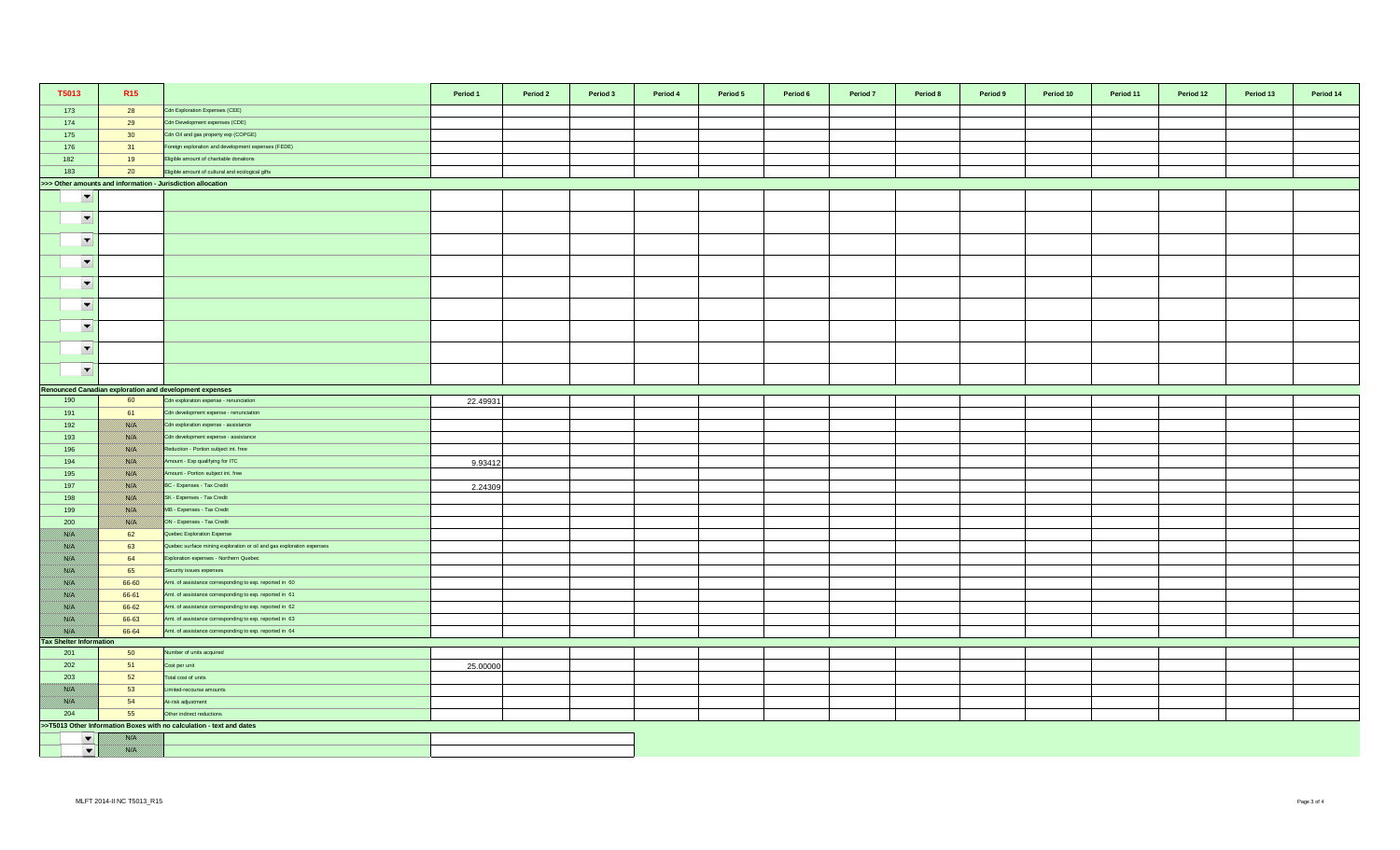| T5013                                 | R <sub>15</sub> |                                                                       | Period 1 | Period 2 | Period 3 | Period 4 | Period 5 | Period 6 | Period 7 | Period 8 | Period 9 | Period 10 | Period 11 | Period 12 | Period 13 | Period 14 |
|---------------------------------------|-----------------|-----------------------------------------------------------------------|----------|----------|----------|----------|----------|----------|----------|----------|----------|-----------|-----------|-----------|-----------|-----------|
| 173                                   | 28              | Cdn Exploration Expenses (CEE)                                        |          |          |          |          |          |          |          |          |          |           |           |           |           |           |
| 174                                   | 29              | Cdn Development expenses (CDE)                                        |          |          |          |          |          |          |          |          |          |           |           |           |           |           |
| 175                                   | 30 <sup>°</sup> | Cdn Oil and gas property exp (COPGE)                                  |          |          |          |          |          |          |          |          |          |           |           |           |           |           |
| 176                                   | 31              | Foreign exploration and development expenses (FEDE)                   |          |          |          |          |          |          |          |          |          |           |           |           |           |           |
| 182                                   | 19              | Eligible amount of charitable donations                               |          |          |          |          |          |          |          |          |          |           |           |           |           |           |
| 183                                   | 20              | Eligible amount of cultural and ecological gifts                      |          |          |          |          |          |          |          |          |          |           |           |           |           |           |
|                                       |                 | >>> Other amounts and information - Jurisdiction allocation           |          |          |          |          |          |          |          |          |          |           |           |           |           |           |
| $\overline{\phantom{a}}$              |                 |                                                                       |          |          |          |          |          |          |          |          |          |           |           |           |           |           |
| $\overline{\phantom{a}}$              |                 |                                                                       |          |          |          |          |          |          |          |          |          |           |           |           |           |           |
| $\overline{\phantom{a}}$              |                 |                                                                       |          |          |          |          |          |          |          |          |          |           |           |           |           |           |
| $\overline{\phantom{a}}$              |                 |                                                                       |          |          |          |          |          |          |          |          |          |           |           |           |           |           |
| $\overline{\phantom{a}}$              |                 |                                                                       |          |          |          |          |          |          |          |          |          |           |           |           |           |           |
| $\overline{\phantom{a}}$              |                 |                                                                       |          |          |          |          |          |          |          |          |          |           |           |           |           |           |
| $\overline{\phantom{a}}$              |                 |                                                                       |          |          |          |          |          |          |          |          |          |           |           |           |           |           |
| $\overline{\phantom{a}}$              |                 |                                                                       |          |          |          |          |          |          |          |          |          |           |           |           |           |           |
| $\blacktriangledown$                  |                 |                                                                       |          |          |          |          |          |          |          |          |          |           |           |           |           |           |
|                                       |                 | Renounced Canadian exploration and development expenses               |          |          |          |          |          |          |          |          |          |           |           |           |           |           |
| 190                                   | 60              | Cdn exploration expense - renunciation                                | 22.49931 |          |          |          |          |          |          |          |          |           |           |           |           |           |
| 191                                   | 61              | Cdn development expense - renunciation                                |          |          |          |          |          |          |          |          |          |           |           |           |           |           |
| 192                                   | <u> Karlin</u>  | Cdn exploration expense - assistance                                  |          |          |          |          |          |          |          |          |          |           |           |           |           |           |
| 193                                   |                 | Cdn development expense - assistance                                  |          |          |          |          |          |          |          |          |          |           |           |           |           |           |
| 196                                   |                 | Reduction - Portion subject int. free                                 |          |          |          |          |          |          |          |          |          |           |           |           |           |           |
| 194                                   |                 | Amount - Exp qualifying for ITC                                       | 9.93412  |          |          |          |          |          |          |          |          |           |           |           |           |           |
| 195                                   | <u> ISSUS I</u> | mount - Portion subject int. free                                     |          |          |          |          |          |          |          |          |          |           |           |           |           |           |
| 197                                   | <u> Karlin</u>  | BC - Expenses - Tax Credit                                            | 2.24309  |          |          |          |          |          |          |          |          |           |           |           |           |           |
| 198                                   |                 | SK - Expenses - Tax Credit                                            |          |          |          |          |          |          |          |          |          |           |           |           |           |           |
| 199                                   |                 | MB - Expenses - Tax Credit                                            |          |          |          |          |          |          |          |          |          |           |           |           |           |           |
| 200                                   | USSA S          | ON - Expenses - Tax Credit                                            |          |          |          |          |          |          |          |          |          |           |           |           |           |           |
| film an                               | 62              | Quebec Exploration Expense                                            |          |          |          |          |          |          |          |          |          |           |           |           |           |           |
| <u> Birth I</u>                       | 63              | Quebec surface mining exploration or oil and gas exploration expenses |          |          |          |          |          |          |          |          |          |           |           |           |           |           |
| <u> British</u>                       | 64              | Exploration expenses - Northern Quebec                                |          |          |          |          |          |          |          |          |          |           |           |           |           |           |
| <u> Wissels I</u>                     | 65              | Security issues expenses                                              |          |          |          |          |          |          |          |          |          |           |           |           |           |           |
| 78. S                                 | 66-60           | Amt. of assistance corresponding to exp. reported in 60               |          |          |          |          |          |          |          |          |          |           |           |           |           |           |
| film an                               | 66-61           | Amt. of assistance corresponding to exp. reported in 61               |          |          |          |          |          |          |          |          |          |           |           |           |           |           |
| <u>filman</u>                         | 66-62           | Amt. of assistance corresponding to exp. reported in 62               |          |          |          |          |          |          |          |          |          |           |           |           |           |           |
| <u> British</u>                       | 66-63           | Amt. of assistance corresponding to exp. reported in 63               |          |          |          |          |          |          |          |          |          |           |           |           |           |           |
|                                       | 66-64           | Amt. of assistance corresponding to exp. reported in 64               |          |          |          |          |          |          |          |          |          |           |           |           |           |           |
| <b>Tax Shelter Information</b><br>201 | 50              | lumber of units acquired                                              |          |          |          |          |          |          |          |          |          |           |           |           |           |           |
| 202                                   | 51              | Cost per unit                                                         | 25.00000 |          |          |          |          |          |          |          |          |           |           |           |           |           |
| 203                                   | 52              | Total cost of units                                                   |          |          |          |          |          |          |          |          |          |           |           |           |           |           |
|                                       | 53              | imited-recourse amounts                                               |          |          |          |          |          |          |          |          |          |           |           |           |           |           |
|                                       | 54              | At-risk adjustment                                                    |          |          |          |          |          |          |          |          |          |           |           |           |           |           |
| 204                                   | 55              | Other indirect reductions                                             |          |          |          |          |          |          |          |          |          |           |           |           |           |           |
|                                       |                 | >>T5013 Other Information Boxes with no calculation - text and dates  |          |          |          |          |          |          |          |          |          |           |           |           |           |           |
| $\blacktriangledown$                  |                 |                                                                       |          |          |          |          |          |          |          |          |          |           |           |           |           |           |
| $\blacktriangledown$                  | film an         |                                                                       |          |          |          |          |          |          |          |          |          |           |           |           |           |           |
|                                       |                 |                                                                       |          |          |          |          |          |          |          |          |          |           |           |           |           |           |